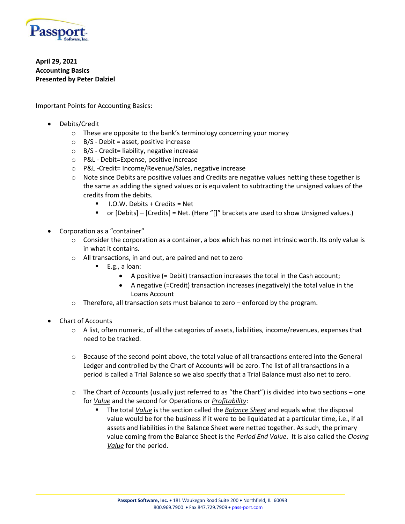

**April 29, 2021 Accounting Basics Presented by Peter Dalziel**

Important Points for Accounting Basics:

- Debits/Credit
	- $\circ$  These are opposite to the bank's terminology concerning your money
	- $\circ$  B/S Debit = asset, positive increase
	- o B/S Credit= liability, negative increase
	- o P&L Debit=Expense, positive increase
	- o P&L -Credit= Income/Revenue/Sales, negative increase
	- $\circ$  Note since Debits are positive values and Credits are negative values netting these together is the same as adding the signed values or is equivalent to subtracting the unsigned values of the credits from the debits.
		- I.O.W. Debits + Credits = Net
		- or [Debits] [Credits] = Net. (Here "[]" brackets are used to show Unsigned values.)
- Corporation as a "container"
	- $\circ$  Consider the corporation as a container, a box which has no net intrinsic worth. Its only value is in what it contains.
	- o All transactions, in and out, are paired and net to zero
		- E.g., a loan:
			- A positive (= Debit) transaction increases the total in the Cash account;
			- A negative (=Credit) transaction increases (negatively) the total value in the Loans Account
	- $\circ$  Therefore, all transaction sets must balance to zero enforced by the program.
- Chart of Accounts
	- $\circ$  A list, often numeric, of all the categories of assets, liabilities, income/revenues, expenses that need to be tracked.
	- o Because of the second point above, the total value of all transactions entered into the General Ledger and controlled by the Chart of Accounts will be zero. The list of all transactions in a period is called a Trial Balance so we also specify that a Trial Balance must also net to zero.
	- $\circ$  The Chart of Accounts (usually just referred to as "the Chart") is divided into two sections one for *Value* and the second for Operations or *Profitability*:
		- The total *Value* is the section called the *Balance Sheet* and equals what the disposal value would be for the business if it were to be liquidated at a particular time, i.e., if all assets and liabilities in the Balance Sheet were netted together. As such, the primary value coming from the Balance Sheet is the *Period End Value*. It is also called the *Closing Value* for the period.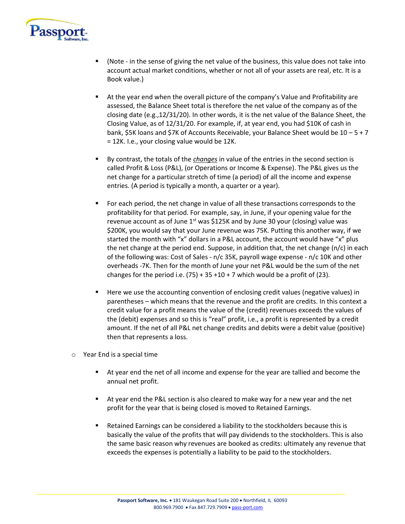

- (Note in the sense of giving the net value of the business, this value does not take into account actual market conditions, whether or not all of your assets are real, etc. It is a Book value.)
- At the year end when the overall picture of the company's Value and Profitability are assessed, the Balance Sheet total is therefore the net value of the company as of the closing date (e.g.,12/31/20). In other words, it is the net value of the Balance Sheet, the Closing Value, as of 12/31/20. For example, if, at year end, you had \$10K of cash in bank, \$5K loans and \$7K of Accounts Receivable, your Balance Sheet would be 10 – 5 + 7 = 12K. I.e., your closing value would be 12K.
- By contrast, the totals of the *changes* in value of the entries in the second section is called Profit & Loss (P&L), (or Operations or Income & Expense). The P&L gives us the net change for a particular stretch of time (a period) of all the income and expense entries. (A period is typically a month, a quarter or a year).
- For each period, the net change in value of all these transactions corresponds to the profitability for that period. For example, say, in June, if your opening value for the revenue account as of June  $1^{st}$  was \$125K and by June 30 your (closing) value was \$200K, you would say that your June revenue was 75K. Putting this another way, if we started the month with "x" dollars in a P&L account, the account would have "x" plus the net change at the period end. Suppose, in addition that, the net change (n/c) in each of the following was: Cost of Sales - n/c 35K, payroll wage expense - n/c 10K and other overheads -7K. Then for the month of June your net P&L would be the sum of the net changes for the period i.e.  $(75) + 35 + 10 + 7$  which would be a profit of (23).
- Here we use the accounting convention of enclosing credit values (negative values) in parentheses – which means that the revenue and the profit are credits. In this context a credit value for a profit means the value of the (credit) revenues exceeds the values of the (debit) expenses and so this is "real" profit, i.e., a profit is represented by a credit amount. If the net of all P&L net change credits and debits were a debit value (positive) then that represents a loss.
- o Year End is a special time
	- At year end the net of all income and expense for the year are tallied and become the annual net profit.
	- At year end the P&L section is also cleared to make way for a new year and the net profit for the year that is being closed is moved to Retained Earnings.
	- Retained Earnings can be considered a liability to the stockholders because this is basically the value of the profits that will pay dividends to the stockholders. This is also the same basic reason why revenues are booked as credits: ultimately any revenue that exceeds the expenses is potentially a liability to be paid to the stockholders.